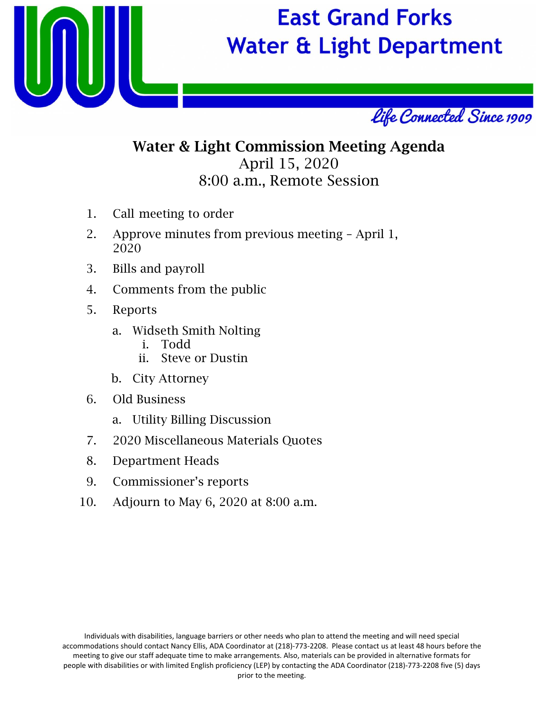

## **East Grand Forks Water & Light Department**



### Water & Light Commission Meeting Agenda April 15, 2020 8:00 a.m., Remote Session

- 1. Call meeting to order
- 2. Approve minutes from previous meeting April 1, 2020
- 3. Bills and payroll
- 4. Comments from the public
- 5. Reports
	- a. Widseth Smith Nolting
		- i. Todd
		- ii. Steve or Dustin
	- b. City Attorney
- 6. Old Business
	- a. Utility Billing Discussion
- 7. 2020 Miscellaneous Materials Quotes
- 8. Department Heads
- 9. Commissioner's reports
- 10. Adjourn to May 6, 2020 at 8:00 a.m.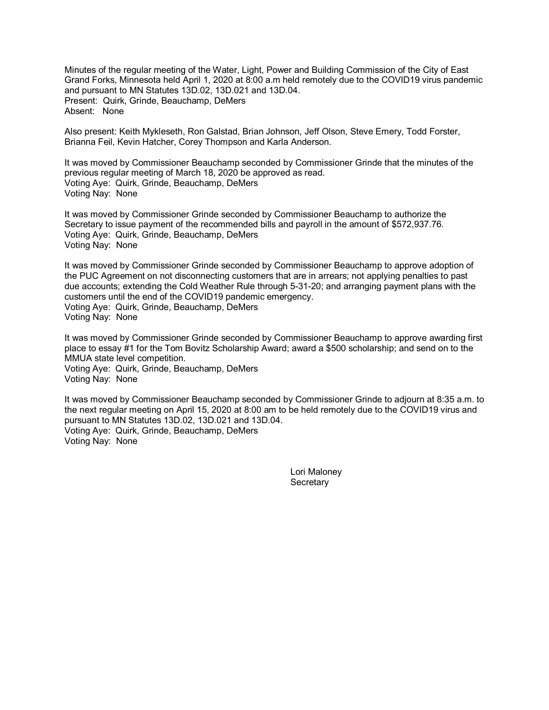Minutes of the regular meeting of the Water, Light, Power and Building Commission of the City of East Grand Forks, Minnesota held April 1, 2020 at 8:00 a.m held remotely due to the COVID19 virus pandemic and pursuant to MN Statutes 13D.02, 13D.021 and 13D.04. Present: Quirk, Grinde, Beauchamp, DeMers Absent: None

Also present: Keith Mykleseth, Ron Galstad, Brian Johnson, Jeff Olson, Steve Emery, Todd Forster, Brianna Feil, Kevin Hatcher, Corey Thompson and Karla Anderson.

It was moved by Commissioner Beauchamp seconded by Commissioner Grinde that the minutes of the previous regular meeting of March 18, 2020 be approved as read. Voting Aye: Quirk, Grinde, Beauchamp, DeMers Voting Nay: None

It was moved by Commissioner Grinde seconded by Commissioner Beauchamp to authorize the Secretary to issue payment of the recommended bills and payroll in the amount of \$572,937.76. Voting Aye: Quirk, Grinde, Beauchamp, DeMers Voting Nay: None

It was moved by Commissioner Grinde seconded by Commissioner Beauchamp to approve adoption of the PUC Agreement on not disconnecting customers that are in arrears; not applying penalties to past due accounts; extending the Cold Weather Rule through 5-31-20; and arranging payment plans with the customers until the end of the COVID19 pandemic emergency. Voting Aye: Quirk, Grinde, Beauchamp, DeMers Voting Nay: None

It was moved by Commissioner Grinde seconded by Commissioner Beauchamp to approve awarding first place to essay #1 for the Tom Bovitz Scholarship Award; award a \$500 scholarship; and send on to the MMUA state level competition. Voting Aye: Quirk, Grinde, Beauchamp, DeMers Voting Nay: None

It was moved by Commissioner Beauchamp seconded by Commissioner Grinde to adjourn at 8:35 a.m. to the next regular meeting on April 15, 2020 at 8:00 am to be held remotely due to the COVID19 virus and pursuant to MN Statutes 13D.02, 13D.021 and 13D.04. Voting Aye: Quirk, Grinde, Beauchamp, DeMers Voting Nay: None

> Lori Maloney **Secretary**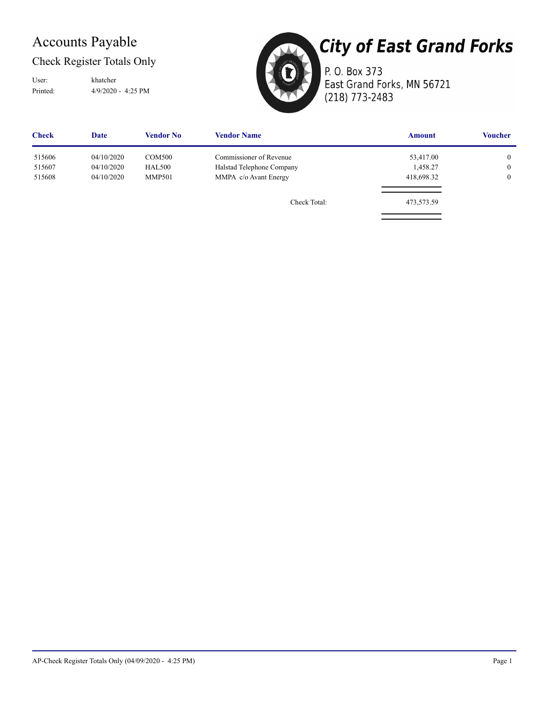#### Accounts Payable

Check Register Totals Only

Printed: 4/9/2020 - 4:25 PM User: khatcher



**City of East Grand Forks** 

P. O. Box 373 East Grand Forks, MN 56721 (218) 773-2483

| <b>Check</b> | Date       | <b>Vendor No</b> | <b>Vendor Name</b>        | <b>Amount</b> | <b>Voucher</b> |
|--------------|------------|------------------|---------------------------|---------------|----------------|
| 515606       | 04/10/2020 | <b>COM500</b>    | Commissioner of Revenue   | 53,417.00     | $\overline{0}$ |
| 515607       | 04/10/2020 | <b>HAL500</b>    | Halstad Telephone Company | 1,458.27      | $\overline{0}$ |
| 515608       | 04/10/2020 | <b>MMP501</b>    | MMPA c/o Avant Energy     | 418,698.32    | $\overline{0}$ |
|              |            |                  | Check Total:              | 473,573.59    |                |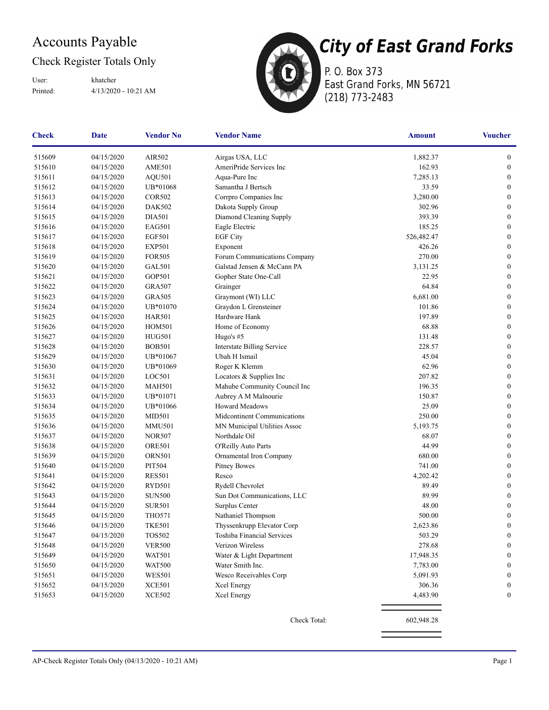#### Accounts Payable

#### Check Register Totals Only

Printed: 4/13/2020 - 10:21 AM User: khatcher



P. O. Box 373 East Grand Forks, MN 56721 (218) 773-2483

| <b>Check</b> | <b>Date</b> | <b>Vendor No</b> | <b>Vendor Name</b>                | <b>Amount</b> | <b>Voucher</b>   |
|--------------|-------------|------------------|-----------------------------------|---------------|------------------|
| 515609       | 04/15/2020  | AIR502           | Airgas USA, LLC                   | 1,882.37      | $\boldsymbol{0}$ |
| 515610       | 04/15/2020  | AME501           | AmeriPride Services Inc           | 162.93        | $\boldsymbol{0}$ |
| 515611       | 04/15/2020  | AQU501           | Aqua-Pure Inc                     | 7,285.13      | $\boldsymbol{0}$ |
| 515612       | 04/15/2020  | UB*01068         | Samantha J Bertsch                | 33.59         | $\boldsymbol{0}$ |
| 515613       | 04/15/2020  | <b>COR502</b>    | Corrpro Companies Inc             | 3,280.00      | $\mathbf{0}$     |
| 515614       | 04/15/2020  | DAK502           | Dakota Supply Group               | 302.96        | $\boldsymbol{0}$ |
| 515615       | 04/15/2020  | <b>DIA501</b>    | Diamond Cleaning Supply           | 393.39        | $\boldsymbol{0}$ |
| 515616       | 04/15/2020  | EAG501           | Eagle Electric                    | 185.25        | $\boldsymbol{0}$ |
| 515617       | 04/15/2020  | <b>EGF501</b>    | <b>EGF City</b>                   | 526,482.47    | $\boldsymbol{0}$ |
| 515618       | 04/15/2020  | <b>EXP501</b>    | Exponent                          | 426.26        | $\boldsymbol{0}$ |
| 515619       | 04/15/2020  | <b>FOR505</b>    | Forum Communications Company      | 270.00        | $\boldsymbol{0}$ |
| 515620       | 04/15/2020  | <b>GAL501</b>    | Galstad Jensen & McCann PA        | 3,131.25      | $\mathbf{0}$     |
| 515621       | 04/15/2020  | GOP501           | Gopher State One-Call             | 22.95         | $\boldsymbol{0}$ |
| 515622       | 04/15/2020  | <b>GRA507</b>    | Grainger                          | 64.84         | $\boldsymbol{0}$ |
| 515623       | 04/15/2020  | <b>GRA505</b>    | Graymont (WI) LLC                 | 6,681.00      | $\boldsymbol{0}$ |
| 515624       | 04/15/2020  | UB*01070         | Graydon L Grensteiner             | 101.86        | $\boldsymbol{0}$ |
| 515625       | 04/15/2020  | <b>HAR501</b>    | Hardware Hank                     | 197.89        | $\mathbf{0}$     |
| 515626       | 04/15/2020  | <b>HOM501</b>    | Home of Economy                   | 68.88         | $\boldsymbol{0}$ |
| 515627       | 04/15/2020  | <b>HUG501</b>    | Hugo's $#5$                       | 131.48        | $\boldsymbol{0}$ |
| 515628       | 04/15/2020  | <b>BOB501</b>    | Interstate Billing Service        | 228.57        | $\boldsymbol{0}$ |
| 515629       | 04/15/2020  | UB*01067         | Ubah H Ismail                     | 45.04         | $\boldsymbol{0}$ |
| 515630       | 04/15/2020  | UB*01069         | Roger K Klemm                     | 62.96         | $\boldsymbol{0}$ |
| 515631       | 04/15/2020  | LOC501           | Locators & Supplies Inc           | 207.82        | $\boldsymbol{0}$ |
| 515632       | 04/15/2020  | <b>MAH501</b>    | Mahube Community Council Inc      | 196.35        | $\mathbf{0}$     |
| 515633       | 04/15/2020  | UB*01071         | Aubrey A M Malnourie              | 150.87        | $\mathbf{0}$     |
| 515634       | 04/15/2020  | UB*01066         | <b>Howard Meadows</b>             | 25.09         | $\boldsymbol{0}$ |
| 515635       | 04/15/2020  | MID501           | Midcontinent Communications       | 250.00        | $\boldsymbol{0}$ |
| 515636       | 04/15/2020  | <b>MMU501</b>    | MN Municipal Utilities Assoc      | 5,193.75      | $\boldsymbol{0}$ |
| 515637       | 04/15/2020  | <b>NOR507</b>    | Northdale Oil                     | 68.07         | $\boldsymbol{0}$ |
| 515638       | 04/15/2020  | <b>ORE501</b>    | O'Reilly Auto Parts               | 44.99         | $\boldsymbol{0}$ |
| 515639       | 04/15/2020  | <b>ORN501</b>    | Ornamental Iron Company           | 680.00        | $\boldsymbol{0}$ |
| 515640       | 04/15/2020  | <b>PIT504</b>    | <b>Pitney Bowes</b>               | 741.00        | $\mathbf{0}$     |
| 515641       | 04/15/2020  | <b>RES501</b>    | Resco                             | 4,202.42      | $\boldsymbol{0}$ |
| 515642       | 04/15/2020  | <b>RYD501</b>    | Rydell Chevrolet                  | 89.49         | $\boldsymbol{0}$ |
| 515643       | 04/15/2020  | <b>SUN500</b>    | Sun Dot Communications, LLC       | 89.99         | $\boldsymbol{0}$ |
| 515644       | 04/15/2020  | <b>SUR501</b>    | Surplus Center                    | 48.00         | $\boldsymbol{0}$ |
| 515645       | 04/15/2020  | <b>THO571</b>    | Nathaniel Thompson                | 500.00        | $\boldsymbol{0}$ |
| 515646       | 04/15/2020  | <b>TKE501</b>    | Thyssenkrupp Elevator Corp        | 2,623.86      | $\boldsymbol{0}$ |
| 515647       | 04/15/2020  | <b>TOS502</b>    | <b>Toshiba Financial Services</b> | 503.29        | $\boldsymbol{0}$ |
| 515648       | 04/15/2020  | <b>VER500</b>    | Verizon Wireless                  | 278.68        | $\boldsymbol{0}$ |
| 515649       | 04/15/2020  | <b>WAT501</b>    | Water & Light Department          | 17,948.35     | $\boldsymbol{0}$ |
| 515650       | 04/15/2020  | <b>WAT500</b>    | Water Smith Inc.                  | 7,783.00      | 0                |
| 515651       | 04/15/2020  | <b>WES501</b>    | Wesco Receivables Corp            | 5,091.93      | 0                |
| 515652       | 04/15/2020  | <b>XCE501</b>    | Xcel Energy                       | 306.36        | 0                |
| 515653       | 04/15/2020  | <b>XCE502</b>    | Xcel Energy                       | 4,483.90      | 0                |
|              |             |                  | Check Total:                      | 602,948.28    |                  |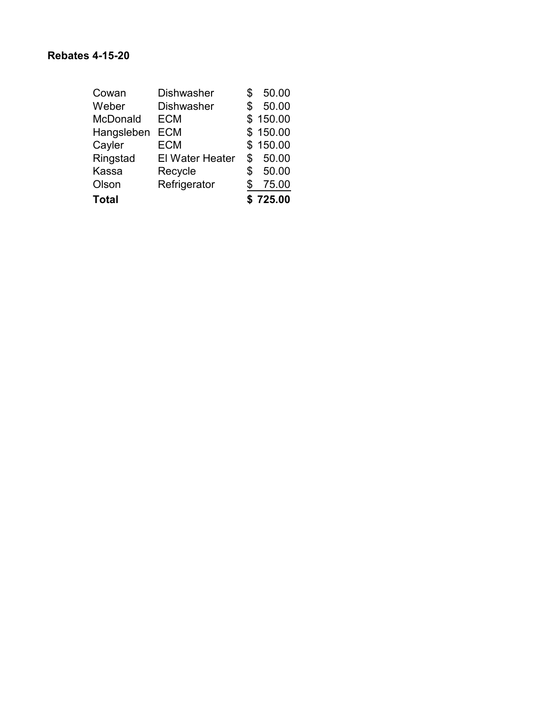| Cowan        | <b>Dishwasher</b>      | \$<br>50.00 |
|--------------|------------------------|-------------|
| Weber        | <b>Dishwasher</b>      | \$<br>50.00 |
| McDonald     | <b>ECM</b>             | \$150.00    |
| Hangsleben   | <b>ECM</b>             | \$150.00    |
| Cayler       | <b>ECM</b>             | \$150.00    |
| Ringstad     | <b>El Water Heater</b> | \$<br>50.00 |
| Kassa        | Recycle                | \$<br>50.00 |
| Olson        | Refrigerator           | \$<br>75.00 |
| <b>Total</b> |                        | \$725.00    |